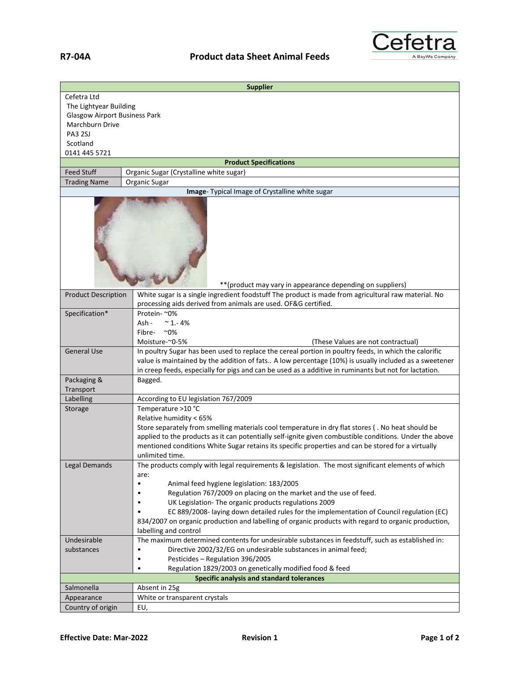

| <b>Supplier</b>                                  |                                                                                                                                                                                                                                                                                                                                                                  |
|--------------------------------------------------|------------------------------------------------------------------------------------------------------------------------------------------------------------------------------------------------------------------------------------------------------------------------------------------------------------------------------------------------------------------|
| Cefetra Ltd                                      |                                                                                                                                                                                                                                                                                                                                                                  |
| The Lightyear Building                           |                                                                                                                                                                                                                                                                                                                                                                  |
| <b>Glasgow Airport Business Park</b>             |                                                                                                                                                                                                                                                                                                                                                                  |
| Marchburn Drive                                  |                                                                                                                                                                                                                                                                                                                                                                  |
| <b>PA3 2SJ</b>                                   |                                                                                                                                                                                                                                                                                                                                                                  |
| Scotland                                         |                                                                                                                                                                                                                                                                                                                                                                  |
| 0141 445 5721                                    |                                                                                                                                                                                                                                                                                                                                                                  |
|                                                  | <b>Product Specifications</b>                                                                                                                                                                                                                                                                                                                                    |
| <b>Feed Stuff</b>                                | Organic Sugar (Crystalline white sugar)                                                                                                                                                                                                                                                                                                                          |
| <b>Trading Name</b>                              | Organic Sugar                                                                                                                                                                                                                                                                                                                                                    |
|                                                  | Image- Typical Image of Crystalline white sugar                                                                                                                                                                                                                                                                                                                  |
|                                                  | ** (product may vary in appearance depending on suppliers)                                                                                                                                                                                                                                                                                                       |
| <b>Product Description</b>                       | White sugar is a single ingredient foodstuff The product is made from agricultural raw material. No<br>processing aids derived from animals are used. OF&G certified.                                                                                                                                                                                            |
| Specification*                                   | Protein- ~0%                                                                                                                                                                                                                                                                                                                                                     |
|                                                  | Ash -<br>$~^{\sim}$ 1.-4%                                                                                                                                                                                                                                                                                                                                        |
|                                                  | $^{\sim}0\%$<br>Fibre-                                                                                                                                                                                                                                                                                                                                           |
|                                                  | Moisture-~0-5%<br>(These Values are not contractual)                                                                                                                                                                                                                                                                                                             |
| <b>General Use</b>                               | In poultry Sugar has been used to replace the cereal portion in poultry feeds, in which the calorific<br>value is maintained by the addition of fats A low percentage (10%) is usually included as a sweetener<br>in creep feeds, especially for pigs and can be used as a additive in ruminants but not for lactation.                                          |
| Packaging &<br>Transport                         | Bagged.                                                                                                                                                                                                                                                                                                                                                          |
| Labelling                                        | According to EU legislation 767/2009                                                                                                                                                                                                                                                                                                                             |
| Storage                                          | Temperature >10 °C                                                                                                                                                                                                                                                                                                                                               |
|                                                  | Relative humidity < 65%<br>Store separately from smelling materials cool temperature in dry flat stores (. No heat should be<br>applied to the products as it can potentially self-ignite given combustible conditions. Under the above<br>mentioned conditions White Sugar retains its specific properties and can be stored for a virtually<br>unlimited time. |
| Legal Demands                                    | The products comply with legal requirements & legislation. The most significant elements of which                                                                                                                                                                                                                                                                |
|                                                  | are:                                                                                                                                                                                                                                                                                                                                                             |
|                                                  | Animal feed hygiene legislation: 183/2005<br>$\bullet$<br>Regulation 767/2009 on placing on the market and the use of feed.                                                                                                                                                                                                                                      |
|                                                  | UK Legislation- The organic products regulations 2009                                                                                                                                                                                                                                                                                                            |
|                                                  | EC 889/2008- laying down detailed rules for the implementation of Council regulation (EC)                                                                                                                                                                                                                                                                        |
|                                                  | 834/2007 on organic production and labelling of organic products with regard to organic production,                                                                                                                                                                                                                                                              |
|                                                  | labelling and control                                                                                                                                                                                                                                                                                                                                            |
| Undesirable                                      | The maximum determined contents for undesirable substances in feedstuff, such as established in:                                                                                                                                                                                                                                                                 |
| substances                                       | Directive 2002/32/EG on undesirable substances in animal feed;<br>$\bullet$                                                                                                                                                                                                                                                                                      |
|                                                  | Pesticides - Regulation 396/2005<br>$\bullet$                                                                                                                                                                                                                                                                                                                    |
|                                                  | Regulation 1829/2003 on genetically modified food & feed                                                                                                                                                                                                                                                                                                         |
| <b>Specific analysis and standard tolerances</b> |                                                                                                                                                                                                                                                                                                                                                                  |
| Salmonella                                       | Absent in 25g                                                                                                                                                                                                                                                                                                                                                    |
| Appearance                                       | White or transparent crystals                                                                                                                                                                                                                                                                                                                                    |
| Country of origin                                | EU,                                                                                                                                                                                                                                                                                                                                                              |